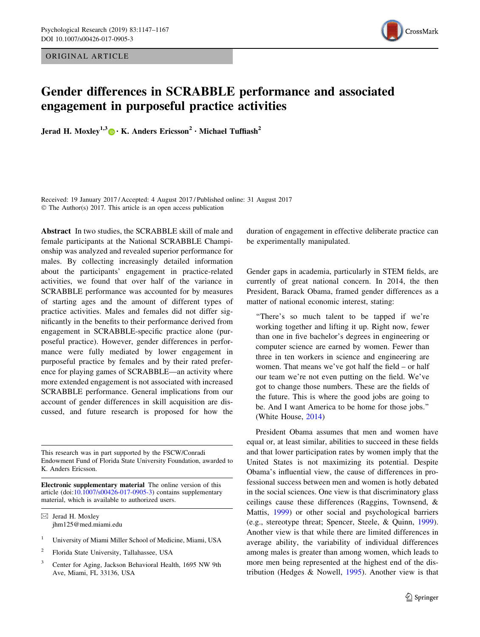ORIGINAL ARTICLE



# Gender differences in SCRABBLE performance and associated engagement in purposeful practice activities

Jerad H. Moxley<sup>1,3</sup> [•](http://orcid.org/0000-0002-4362-9963) K. Anders Ericsson<sup>2</sup> • Michael Tuffiash<sup>2</sup>

Received: 19 January 2017 / Accepted: 4 August 2017 / Published online: 31 August 2017 © The Author(s) 2017. This article is an open access publication

Abstract In two studies, the SCRABBLE skill of male and female participants at the National SCRABBLE Championship was analyzed and revealed superior performance for males. By collecting increasingly detailed information about the participants' engagement in practice-related activities, we found that over half of the variance in SCRABBLE performance was accounted for by measures of starting ages and the amount of different types of practice activities. Males and females did not differ significantly in the benefits to their performance derived from engagement in SCRABBLE-specific practice alone (purposeful practice). However, gender differences in performance were fully mediated by lower engagement in purposeful practice by females and by their rated preference for playing games of SCRABBLE—an activity where more extended engagement is not associated with increased SCRABBLE performance. General implications from our account of gender differences in skill acquisition are discussed, and future research is proposed for how the

This research was in part supported by the FSCW/Conradi Endowment Fund of Florida State University Foundation, awarded to K. Anders Ericsson.

Electronic supplementary material The online version of this article (doi:[10.1007/s00426-017-0905-3\)](http://dx.doi.org/10.1007/s00426-017-0905-3) contains supplementary material, which is available to authorized users.

 $\boxtimes$  Jerad H. Moxley jhm125@med.miami.edu

- <sup>1</sup> University of Miami Miller School of Medicine, Miami, USA
- <sup>2</sup> Florida State University, Tallahassee, USA
- <sup>3</sup> Center for Aging, Jackson Behavioral Health, 1695 NW 9th Ave, Miami, FL 33136, USA

duration of engagement in effective deliberate practice can be experimentally manipulated.

Gender gaps in academia, particularly in STEM fields, are currently of great national concern. In 2014, the then President, Barack Obama, framed gender differences as a matter of national economic interest, stating:

"There's so much talent to be tapped if we're working together and lifting it up. Right now, fewer than one in five bachelor's degrees in engineering or computer science are earned by women. Fewer than three in ten workers in science and engineering are women. That means we've got half the field – or half our team we're not even putting on the field. We've got to change those numbers. These are the fields of the future. This is where the good jobs are going to be. And I want America to be home for those jobs.'' (White House, [2014\)](#page-20-0)

President Obama assumes that men and women have equal or, at least similar, abilities to succeed in these fields and that lower participation rates by women imply that the United States is not maximizing its potential. Despite Obama's influential view, the cause of differences in professional success between men and women is hotly debated in the social sciences. One view is that discriminatory glass ceilings cause these differences (Raggins, Townsend, & Mattis, [1999\)](#page-20-0) or other social and psychological barriers (e.g., stereotype threat; Spencer, Steele, & Quinn, [1999](#page-20-0)). Another view is that while there are limited differences in average ability, the variability of individual differences among males is greater than among women, which leads to more men being represented at the highest end of the distribution (Hedges & Nowell, [1995](#page-20-0)). Another view is that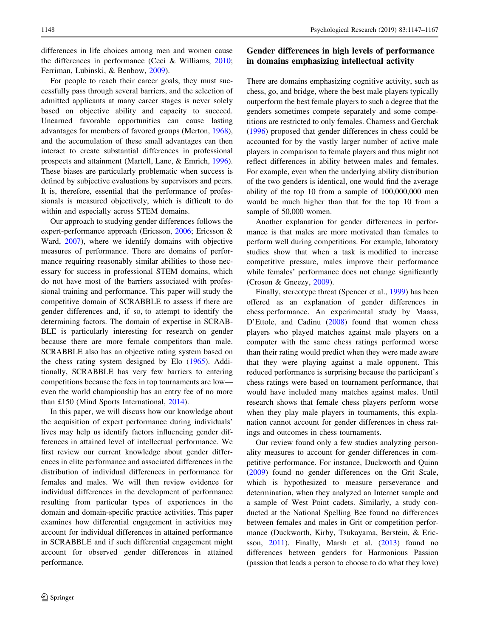differences in life choices among men and women cause the differences in performance (Ceci & Williams, [2010](#page-19-0); Ferriman, Lubinski, & Benbow, [2009](#page-20-0)).

For people to reach their career goals, they must successfully pass through several barriers, and the selection of admitted applicants at many career stages is never solely based on objective ability and capacity to succeed. Unearned favorable opportunities can cause lasting advantages for members of favored groups (Merton, [1968](#page-20-0)), and the accumulation of these small advantages can then interact to create substantial differences in professional prospects and attainment (Martell, Lane, & Emrich, [1996](#page-20-0)). These biases are particularly problematic when success is defined by subjective evaluations by supervisors and peers. It is, therefore, essential that the performance of professionals is measured objectively, which is difficult to do within and especially across STEM domains.

Our approach to studying gender differences follows the expert-performance approach (Ericsson, [2006](#page-19-0); Ericsson & Ward, [2007](#page-20-0)), where we identify domains with objective measures of performance. There are domains of performance requiring reasonably similar abilities to those necessary for success in professional STEM domains, which do not have most of the barriers associated with professional training and performance. This paper will study the competitive domain of SCRABBLE to assess if there are gender differences and, if so, to attempt to identify the determining factors. The domain of expertise in SCRAB-BLE is particularly interesting for research on gender because there are more female competitors than male. SCRABBLE also has an objective rating system based on the chess rating system designed by Elo ([1965\)](#page-19-0). Additionally, SCRABBLE has very few barriers to entering competitions because the fees in top tournaments are low even the world championship has an entry fee of no more than £150 (Mind Sports International, [2014\)](#page-20-0).

In this paper, we will discuss how our knowledge about the acquisition of expert performance during individuals' lives may help us identify factors influencing gender differences in attained level of intellectual performance. We first review our current knowledge about gender differences in elite performance and associated differences in the distribution of individual differences in performance for females and males. We will then review evidence for individual differences in the development of performance resulting from particular types of experiences in the domain and domain-specific practice activities. This paper examines how differential engagement in activities may account for individual differences in attained performance in SCRABBLE and if such differential engagement might account for observed gender differences in attained performance.

# Gender differences in high levels of performance in domains emphasizing intellectual activity

There are domains emphasizing cognitive activity, such as chess, go, and bridge, where the best male players typically outperform the best female players to such a degree that the genders sometimes compete separately and some competitions are restricted to only females. Charness and Gerchak [\(1996](#page-19-0)) proposed that gender differences in chess could be accounted for by the vastly larger number of active male players in comparison to female players and thus might not reflect differences in ability between males and females. For example, even when the underlying ability distribution of the two genders is identical, one would find the average ability of the top 10 from a sample of 100,000,000 men would be much higher than that for the top 10 from a sample of 50,000 women.

Another explanation for gender differences in performance is that males are more motivated than females to perform well during competitions. For example, laboratory studies show that when a task is modified to increase competitive pressure, males improve their performance while females' performance does not change significantly (Croson & Gneezy, [2009](#page-19-0)).

Finally, stereotype threat (Spencer et al., [1999](#page-20-0)) has been offered as an explanation of gender differences in chess performance. An experimental study by Maass, D'Ettole, and Cadinu ([2008\)](#page-20-0) found that women chess players who played matches against male players on a computer with the same chess ratings performed worse than their rating would predict when they were made aware that they were playing against a male opponent. This reduced performance is surprising because the participant's chess ratings were based on tournament performance, that would have included many matches against males. Until research shows that female chess players perform worse when they play male players in tournaments, this explanation cannot account for gender differences in chess ratings and outcomes in chess tournaments.

Our review found only a few studies analyzing personality measures to account for gender differences in competitive performance. For instance, Duckworth and Quinn [\(2009](#page-19-0)) found no gender differences on the Grit Scale, which is hypothesized to measure perseverance and determination, when they analyzed an Internet sample and a sample of West Point cadets. Similarly, a study conducted at the National Spelling Bee found no differences between females and males in Grit or competition performance (Duckworth, Kirby, Tsukayama, Berstein, & Ericsson, [2011\)](#page-19-0). Finally, Marsh et al. ([2013\)](#page-20-0) found no differences between genders for Harmonious Passion (passion that leads a person to choose to do what they love)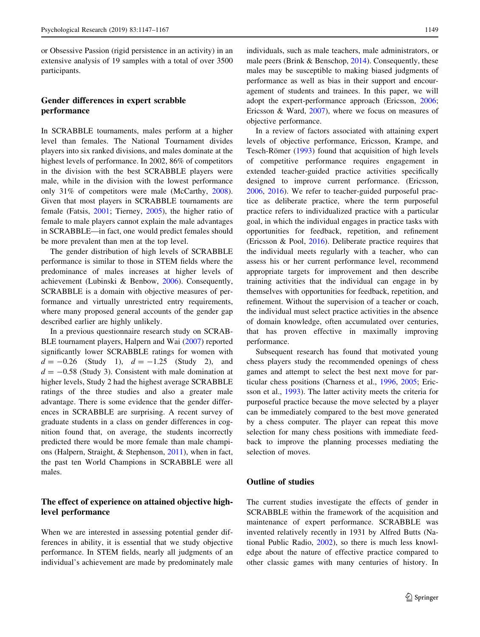or Obsessive Passion (rigid persistence in an activity) in an extensive analysis of 19 samples with a total of over 3500 participants.

# Gender differences in expert scrabble performance

In SCRABBLE tournaments, males perform at a higher level than females. The National Tournament divides players into six ranked divisions, and males dominate at the highest levels of performance. In 2002, 86% of competitors in the division with the best SCRABBLE players were male, while in the division with the lowest performance only 31% of competitors were male (McCarthy, [2008](#page-20-0)). Given that most players in SCRABBLE tournaments are female (Fatsis, [2001](#page-20-0); Tierney, [2005](#page-20-0)), the higher ratio of female to male players cannot explain the male advantages in SCRABBLE—in fact, one would predict females should be more prevalent than men at the top level.

The gender distribution of high levels of SCRABBLE performance is similar to those in STEM fields where the predominance of males increases at higher levels of achievement (Lubinski & Benbow, [2006](#page-20-0)). Consequently, SCRABBLE is a domain with objective measures of performance and virtually unrestricted entry requirements, where many proposed general accounts of the gender gap described earlier are highly unlikely.

In a previous questionnaire research study on SCRAB-BLE tournament players, Halpern and Wai ([2007\)](#page-20-0) reported significantly lower SCRABBLE ratings for women with  $d = -0.26$  (Study 1),  $d = -1.25$  (Study 2), and  $d = -0.58$  (Study 3). Consistent with male domination at higher levels, Study 2 had the highest average SCRABBLE ratings of the three studies and also a greater male advantage. There is some evidence that the gender differences in SCRABBLE are surprising. A recent survey of graduate students in a class on gender differences in cognition found that, on average, the students incorrectly predicted there would be more female than male champions (Halpern, Straight, & Stephenson, [2011\)](#page-20-0), when in fact, the past ten World Champions in SCRABBLE were all males.

# The effect of experience on attained objective highlevel performance

When we are interested in assessing potential gender differences in ability, it is essential that we study objective performance. In STEM fields, nearly all judgments of an individual's achievement are made by predominately male individuals, such as male teachers, male administrators, or male peers (Brink & Benschop, [2014](#page-19-0)). Consequently, these males may be susceptible to making biased judgments of performance as well as bias in their support and encouragement of students and trainees. In this paper, we will adopt the expert-performance approach (Ericsson, [2006](#page-19-0); Ericsson & Ward, [2007\)](#page-20-0), where we focus on measures of objective performance.

In a review of factors associated with attaining expert levels of objective performance, Ericsson, Krampe, and Tesch-Römer ([1993](#page-19-0)) found that acquisition of high levels of competitive performance requires engagement in extended teacher-guided practice activities specifically designed to improve current performance. (Ericsson, [2006](#page-19-0), [2016](#page-19-0)). We refer to teacher-guided purposeful practice as deliberate practice, where the term purposeful practice refers to individualized practice with a particular goal, in which the individual engages in practice tasks with opportunities for feedback, repetition, and refinement (Ericsson & Pool, [2016](#page-20-0)). Deliberate practice requires that the individual meets regularly with a teacher, who can assess his or her current performance level, recommend appropriate targets for improvement and then describe training activities that the individual can engage in by themselves with opportunities for feedback, repetition, and refinement. Without the supervision of a teacher or coach, the individual must select practice activities in the absence of domain knowledge, often accumulated over centuries, that has proven effective in maximally improving performance.

Subsequent research has found that motivated young chess players study the recommended openings of chess games and attempt to select the best next move for particular chess positions (Charness et al., [1996](#page-19-0), [2005;](#page-19-0) Ericsson et al., [1993](#page-19-0)). The latter activity meets the criteria for purposeful practice because the move selected by a player can be immediately compared to the best move generated by a chess computer. The player can repeat this move selection for many chess positions with immediate feedback to improve the planning processes mediating the selection of moves.

## Outline of studies

The current studies investigate the effects of gender in SCRABBLE within the framework of the acquisition and maintenance of expert performance. SCRABBLE was invented relatively recently in 1931 by Alfred Butts (National Public Radio, [2002](#page-20-0)), so there is much less knowledge about the nature of effective practice compared to other classic games with many centuries of history. In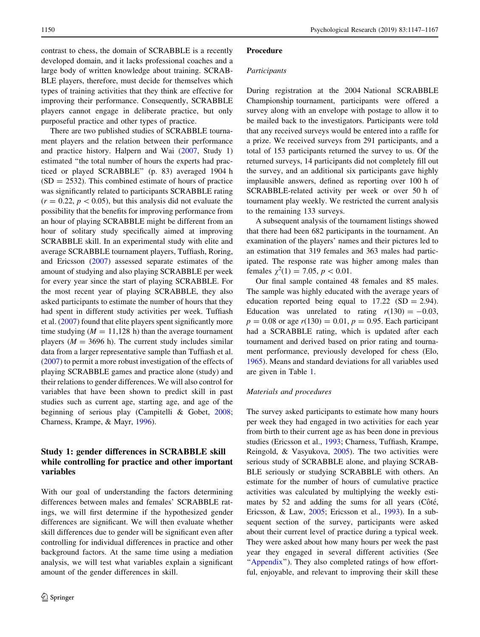contrast to chess, the domain of SCRABBLE is a recently developed domain, and it lacks professional coaches and a large body of written knowledge about training. SCRAB-BLE players, therefore, must decide for themselves which types of training activities that they think are effective for improving their performance. Consequently, SCRABBLE players cannot engage in deliberate practice, but only purposeful practice and other types of practice.

There are two published studies of SCRABBLE tournament players and the relation between their performance and practice history. Halpern and Wai ([2007,](#page-20-0) Study 1) estimated ''the total number of hours the experts had practiced or played SCRABBLE'' (p. 83) averaged 1904 h  $(SD = 2532)$ . This combined estimate of hours of practice was significantly related to participants SCRABBLE rating  $(r = 0.22, p < 0.05)$ , but this analysis did not evaluate the possibility that the benefits for improving performance from an hour of playing SCRABBLE might be different from an hour of solitary study specifically aimed at improving SCRABBLE skill. In an experimental study with elite and average SCRABBLE tournament players, Tuffiash, Roring, and Ericsson [\(2007](#page-19-0)) assessed separate estimates of the amount of studying and also playing SCRABBLE per week for every year since the start of playing SCRABBLE. For the most recent year of playing SCRABBLE, they also asked participants to estimate the number of hours that they had spent in different study activities per week. Tuffiash et al. ([2007\)](#page-20-0) found that elite players spent significantly more time studying  $(M = 11,128)$  h) than the average tournament players ( $M = 3696$  h). The current study includes similar data from a larger representative sample than Tuffiash et al. [\(2007](#page-20-0)) to permit a more robust investigation of the effects of playing SCRABBLE games and practice alone (study) and their relations to gender differences. We will also control for variables that have been shown to predict skill in past studies such as current age, starting age, and age of the beginning of serious play (Campitelli & Gobet, [2008](#page-19-0); Charness, Krampe, & Mayr, [1996](#page-19-0)).

# Study 1: gender differences in SCRABBLE skill while controlling for practice and other important variables

With our goal of understanding the factors determining differences between males and females' SCRABBLE ratings, we will first determine if the hypothesized gender differences are significant. We will then evaluate whether skill differences due to gender will be significant even after controlling for individual differences in practice and other background factors. At the same time using a mediation analysis, we will test what variables explain a significant amount of the gender differences in skill.

#### Procedure

#### Participants

During registration at the 2004 National SCRABBLE Championship tournament, participants were offered a survey along with an envelope with postage to allow it to be mailed back to the investigators. Participants were told that any received surveys would be entered into a raffle for a prize. We received surveys from 291 participants, and a total of 153 participants returned the survey to us. Of the returned surveys, 14 participants did not completely fill out the survey, and an additional six participants gave highly implausible answers, defined as reporting over 100 h of SCRABBLE-related activity per week or over 50 h of tournament play weekly. We restricted the current analysis to the remaining 133 surveys.

A subsequent analysis of the tournament listings showed that there had been 682 participants in the tournament. An examination of the players' names and their pictures led to an estimation that 319 females and 363 males had participated. The response rate was higher among males than females  $\chi^2(1) = 7.05$ ,  $p < 0.01$ .

Our final sample contained 48 females and 85 males. The sample was highly educated with the average years of education reported being equal to  $17.22$  (SD = 2.94). Education was unrelated to rating  $r(130) = -0.03$ ,  $p = 0.08$  or age  $r(130) = 0.01$ ,  $p = 0.95$ . Each participant had a SCRABBLE rating, which is updated after each tournament and derived based on prior rating and tournament performance, previously developed for chess (Elo, [1965](#page-19-0)). Means and standard deviations for all variables used are given in Table [1.](#page-4-0)

#### Materials and procedures

The survey asked participants to estimate how many hours per week they had engaged in two activities for each year from birth to their current age as has been done in previous studies (Ericsson et al., [1993;](#page-19-0) Charness, Tuffiash, Krampe, Reingold, & Vasyukova, [2005](#page-19-0)). The two activities were serious study of SCRABBLE alone, and playing SCRAB-BLE seriously or studying SCRABBLE with others. An estimate for the number of hours of cumulative practice activities was calculated by multiplying the weekly estimates by  $52$  and adding the sums for all years (Côté, Ericsson, & Law, [2005](#page-19-0); Ericsson et al., [1993](#page-19-0)). In a subsequent section of the survey, participants were asked about their current level of practice during a typical week. They were asked about how many hours per week the past year they engaged in several different activities (See "[Appendix](#page-19-0)"). They also completed ratings of how effortful, enjoyable, and relevant to improving their skill these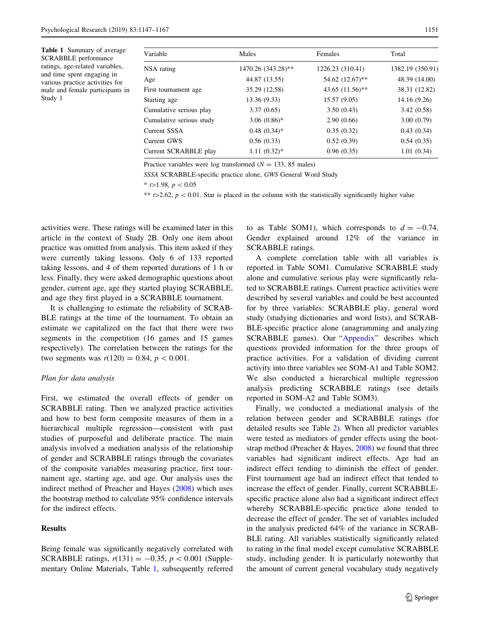<span id="page-4-0"></span>Table 1 Summary of average SCRABBLE performance ratings, age-related variables, and time spent engaging in various practice activities for male and female participants in Study 1

| Variable                 | Males              | Females            | Total            |
|--------------------------|--------------------|--------------------|------------------|
| NSA rating               | 1470.26 (343.28)** | 1226.23 (310.41)   | 1382.19 (350.91) |
| Age                      | 44.87 (13.55)      | 54.62 (12.67)**    | 48.39 (14.00)    |
| First tournament age     | 35.29 (12.58)      | 43.65 $(11.56)$ ** | 38.31 (12.82)    |
| Starting age             | 13.36 (9.33)       | 15.57(9.05)        | 14.16 (9.26)     |
| Cumulative serious play  | 3.37(0.65)         | 3.50(0.43)         | 3.42(0.58)       |
| Cumulative serious study | $3.06(0.86)$ *     | 2.90(0.66)         | 3.00(0.79)       |
| Current SSSA             | $0.48(0.34)$ *     | 0.35(0.32)         | 0.43(0.34)       |
| Current GWS              | 0.56(0.33)         | 0.52(0.39)         | 0.54(0.35)       |
| Current SCRABBLE play    | $1.11(0.32)*$      | 0.96(0.35)         | 1.01(0.34)       |

Practice variables were log transformed ( $N = 133, 85$  males)

SSSA SCRABBLE-specific practice alone, GWS General Word Study

 $*$  t>1.98, p < 0.05

\*\*  $t > 2.62$ ,  $p < 0.01$ . Star is placed in the column with the statistically significantly higher value

activities were. These ratings will be examined later in this article in the context of Study 2B. Only one item about practice was omitted from analysis. This item asked if they were currently taking lessons. Only 6 of 133 reported taking lessons, and 4 of them reported durations of 1 h or less. Finally, they were asked demographic questions about gender, current age, age they started playing SCRABBLE, and age they first played in a SCRABBLE tournament.

It is challenging to estimate the reliability of SCRAB-BLE ratings at the time of the tournament. To obtain an estimate we capitalized on the fact that there were two segments in the competition (16 games and 15 games respectively). The correlation between the ratings for the two segments was  $r(120) = 0.84$ ,  $p < 0.001$ .

#### Plan for data analysis

First, we estimated the overall effects of gender on SCRABBLE rating. Then we analyzed practice activities and how to best form composite measures of them in a hierarchical multiple regression—consistent with past studies of purposeful and deliberate practice. The main analysis involved a mediation analysis of the relationship of gender and SCRABBLE ratings through the covariates of the composite variables measuring practice, first tournament age, starting age, and age. Our analysis uses the indirect method of Preacher and Hayes ([2008\)](#page-20-0) which uses the bootstrap method to calculate 95% confidence intervals for the indirect effects.

### **Results**

Being female was significantly negatively correlated with SCRABBLE ratings,  $r(131) = -0.35$ ,  $p < 0.001$  (Supplementary Online Materials, Table 1, subsequently referred to as Table SOM1), which corresponds to  $d = -0.74$ . Gender explained around 12% of the variance in SCRABBLE ratings.

A complete correlation table with all variables is reported in Table SOM1. Cumulative SCRABBLE study alone and cumulative serious play were significantly related to SCRABBLE ratings. Current practice activities were described by several variables and could be best accounted for by three variables: SCRABBLE play, general word study (studying dictionaries and word lists), and SCRAB-BLE-specific practice alone (anagramming and analyzing SCRABBLE games). Our "Appendix" describes which questions provided information for the three groups of practice activities. For a validation of dividing current activity into three variables see SOM-A1 and Table SOM2. We also conducted a hierarchical multiple regression analysis predicting SCRABBLE ratings (see details reported in SOM-A2 and Table SOM3).

Finally, we conducted a mediational analysis of the relation between gender and SCRABBLE ratings (for detailed results see Table [2](#page-5-0)). When all predictor variables were tested as mediators of gender effects using the bootstrap method (Preacher & Hayes, [2008](#page-20-0)) we found that three variables had significant indirect effects. Age had an indirect effect tending to diminish the effect of gender. First tournament age had an indirect effect that tended to increase the effect of gender. Finally, current SCRABBLEspecific practice alone also had a significant indirect effect whereby SCRABBLE-specific practice alone tended to decrease the effect of gender. The set of variables included in the analysis predicted 64% of the variance in SCRAB-BLE rating. All variables statistically significantly related to rating in the final model except cumulative SCRABBLE study, including gender. It is particularly noteworthy that the amount of current general vocabulary study negatively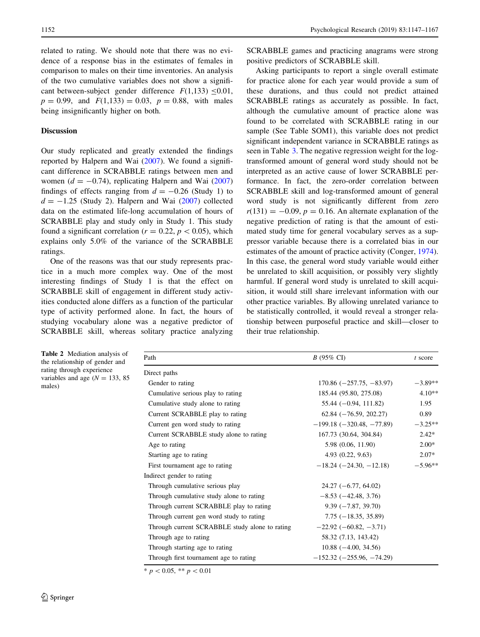<span id="page-5-0"></span>related to rating. We should note that there was no evidence of a response bias in the estimates of females in comparison to males on their time inventories. An analysis of the two cumulative variables does not show a significant between-subject gender difference  $F(1,133)$  < 0.01,  $p = 0.99$ , and  $F(1,133) = 0.03$ ,  $p = 0.88$ , with males being insignificantly higher on both.

### Discussion

Our study replicated and greatly extended the findings reported by Halpern and Wai [\(2007\)](#page-20-0). We found a significant difference in SCRABBLE ratings between men and women ( $d = -0.74$ ), replicating Halpern and Wai ([2007\)](#page-20-0) findings of effects ranging from  $d = -0.26$  (Study 1) to  $d = -1.25$  (Study 2). Halpern and Wai [\(2007](#page-20-0)) collected data on the estimated life-long accumulation of hours of SCRABBLE play and study only in Study 1. This study found a significant correlation ( $r = 0.22$ ,  $p < 0.05$ ), which explains only 5.0% of the variance of the SCRABBLE ratings.

One of the reasons was that our study represents practice in a much more complex way. One of the most interesting findings of Study 1 is that the effect on SCRABBLE skill of engagement in different study activities conducted alone differs as a function of the particular type of activity performed alone. In fact, the hours of studying vocabulary alone was a negative predictor of SCRABBLE skill, whereas solitary practice analyzing SCRABBLE games and practicing anagrams were strong positive predictors of SCRABBLE skill.

Asking participants to report a single overall estimate for practice alone for each year would provide a sum of these durations, and thus could not predict attained SCRABBLE ratings as accurately as possible. In fact, although the cumulative amount of practice alone was found to be correlated with SCRABBLE rating in our sample (See Table SOM1), this variable does not predict significant independent variance in SCRABBLE ratings as seen in Table [3.](#page-6-0) The negative regression weight for the logtransformed amount of general word study should not be interpreted as an active cause of lower SCRABBLE performance. In fact, the zero-order correlation between SCRABBLE skill and log-transformed amount of general word study is not significantly different from zero  $r(131) = -0.09$ ,  $p = 0.16$ . An alternate explanation of the negative prediction of rating is that the amount of estimated study time for general vocabulary serves as a suppressor variable because there is a correlated bias in our estimates of the amount of practice activity (Conger, [1974](#page-19-0)). In this case, the general word study variable would either be unrelated to skill acquisition, or possibly very slightly harmful. If general word study is unrelated to skill acquisition, it would still share irrelevant information with our other practice variables. By allowing unrelated variance to be statistically controlled, it would reveal a stronger relationship between purposeful practice and skill—closer to their true relationship.

Table 2 Mediation analysis of the relationship of gender and rating through experience variables and age ( $N = 133, 85$ ) males)

| Path                                           | $B(95\% \text{ CI})$               | t score   |
|------------------------------------------------|------------------------------------|-----------|
| Direct paths                                   |                                    |           |
| Gender to rating                               | $170.86$ ( $-257.75, -83.97$ )     | $-3.89**$ |
| Cumulative serious play to rating              | 185.44 (95.80, 275.08)             | $4.10**$  |
| Cumulative study alone to rating               | $55.44 (-0.94, 111.82)$            | 1.95      |
| Current SCRABBLE play to rating                | $62.84 (-76.59, 202.27)$           | 0.89      |
| Current gen word study to rating               | $-199.18$ ( $-320.48$ , $-77.89$ ) | $-3.25**$ |
| Current SCRABBLE study alone to rating         | 167.73 (30.64, 304.84)             | $2.42*$   |
| Age to rating                                  | 5.98 (0.06, 11.90)                 | $2.00*$   |
| Starting age to rating                         | 4.93(0.22, 9.63)                   | $2.07*$   |
| First tournament age to rating                 | $-18.24 (-24.30, -12.18)$          | $-5.96**$ |
| Indirect gender to rating                      |                                    |           |
| Through cumulative serious play                | $24.27(-6.77, 64.02)$              |           |
| Through cumulative study alone to rating       | $-8.53(-42.48, 3.76)$              |           |
| Through current SCRABBLE play to rating        | $9.39(-7.87, 39.70)$               |           |
| Through current gen word study to rating       | $7.75(-18.35, 35.89)$              |           |
| Through current SCRABBLE study alone to rating | $-22.92(-60.82, -3.71)$            |           |
| Through age to rating                          | 58.32 (7.13, 143.42)               |           |
| Through starting age to rating                 | $10.88(-4.00, 34.56)$              |           |
| Through first tournament age to rating         | $-152.32(-255.96, -74.29)$         |           |

 $* p < 0.05, ** p < 0.01$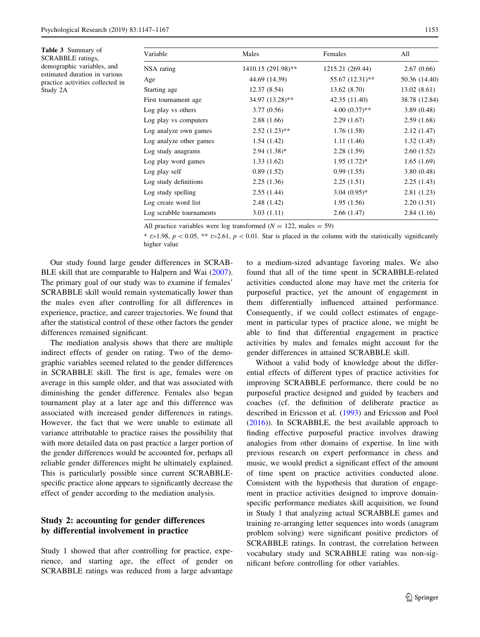<span id="page-6-0"></span>Table 3 Summary of SCRABBLE ratings, demographic variables, and estimated duration in various practice activities collected in Study 2A

| Variable                 | Males              | Females          | All           |
|--------------------------|--------------------|------------------|---------------|
| NSA rating               | 1410.15 (291.98)** | 1215.21 (269.44) | 2.67(0.66)    |
| Age                      | 44.69 (14.39)      | 55.67 (12.31)**  | 50.36 (14.40) |
| Starting age             | 12.37 (8.54)       | 13.62(8.70)      | 13.02(8.61)   |
| First tournament age     | 34.97 (13.28)**    | 42.35 (11.40)    | 38.78 (12.84) |
| Log play vs others       | 3.77(0.56)         | $4.00(0.37)$ **  | 3.89(0.48)    |
| Log play vs computers    | 2.88(1.66)         | 2.29(1.67)       | 2.59(1.68)    |
| Log analyze own games    | $2.52(1.23)$ **    | 1.76(1.58)       | 2.12(1.47)    |
| Log analyze other games  | 1.54(1.42)         | 1.11(1.46)       | 1.32(1.45)    |
| Log study anagrams       | $2.94(1.38)$ *     | 2.28(1.59)       | 2.60(1.52)    |
| Log play word games      | 1.33(1.62)         | $1.95(1.72)^*$   | 1.65(1.69)    |
| Log play self            | 0.89(1.52)         | 0.99(1.55)       | 3.80(0.48)    |
| Log study definitions    | 2.25(1.36)         | 2.25(1.51)       | 2.25(1.43)    |
| Log study spelling       | 2.55(1.44)         | $3.04(0.95)*$    | 2.81(1.23)    |
| Log create word list     | 2.48(1.42)         | 1.95(1.56)       | 2.20(1.51)    |
| Log scrabble tournaments | 3.03(1.11)         | 2.66(1.47)       | 2.84(1.16)    |

All practice variables were log transformed  $(N = 122, \text{ males} = 59)$ 

\* t $>$ 1.98, p < 0.05, \*\* t $>$ 2.61, p < 0.01. Star is placed in the column with the statistically significantly higher value

Our study found large gender differences in SCRAB-BLE skill that are comparable to Halpern and Wai [\(2007](#page-20-0)). The primary goal of our study was to examine if females' SCRABBLE skill would remain systematically lower than the males even after controlling for all differences in experience, practice, and career trajectories. We found that after the statistical control of these other factors the gender differences remained significant.

The mediation analysis shows that there are multiple indirect effects of gender on rating. Two of the demographic variables seemed related to the gender differences in SCRABBLE skill. The first is age, females were on average in this sample older, and that was associated with diminishing the gender difference. Females also began tournament play at a later age and this difference was associated with increased gender differences in ratings. However, the fact that we were unable to estimate all variance attributable to practice raises the possibility that with more detailed data on past practice a larger portion of the gender differences would be accounted for, perhaps all reliable gender differences might be ultimately explained. This is particularly possible since current SCRABBLEspecific practice alone appears to significantly decrease the effect of gender according to the mediation analysis.

# Study 2: accounting for gender differences by differential involvement in practice

Study 1 showed that after controlling for practice, experience, and starting age, the effect of gender on SCRABBLE ratings was reduced from a large advantage

to a medium-sized advantage favoring males. We also found that all of the time spent in SCRABBLE-related activities conducted alone may have met the criteria for purposeful practice, yet the amount of engagement in them differentially influenced attained performance. Consequently, if we could collect estimates of engagement in particular types of practice alone, we might be able to find that differential engagement in practice activities by males and females might account for the gender differences in attained SCRABBLE skill.

Without a valid body of knowledge about the differential effects of different types of practice activities for improving SCRABBLE performance, there could be no purposeful practice designed and guided by teachers and coaches (cf. the definition of deliberate practice as described in Ericsson et al. ([1993\)](#page-19-0) and Ericsson and Pool [\(2016](#page-20-0))). In SCRABBLE, the best available approach to finding effective purposeful practice involves drawing analogies from other domains of expertise. In line with previous research on expert performance in chess and music, we would predict a significant effect of the amount of time spent on practice activities conducted alone. Consistent with the hypothesis that duration of engagement in practice activities designed to improve domainspecific performance mediates skill acquisition, we found in Study 1 that analyzing actual SCRABBLE games and training re-arranging letter sequences into words (anagram problem solving) were significant positive predictors of SCRABBLE ratings. In contrast, the correlation between vocabulary study and SCRABBLE rating was non-significant before controlling for other variables.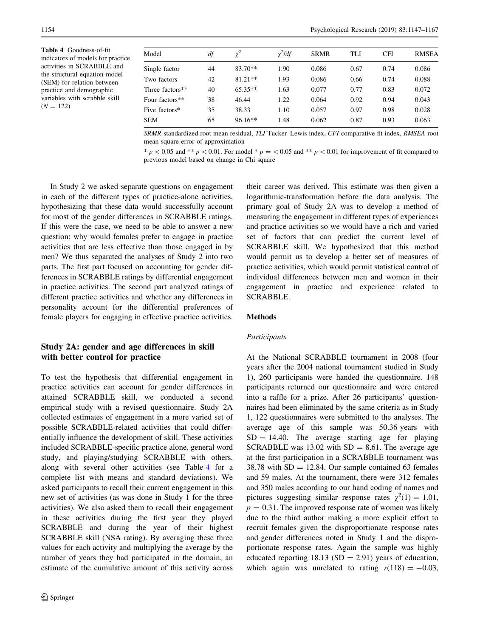<span id="page-7-0"></span>Table 4 Goodness-of-fit indicators of models for practice activities in SCRABBLE and the structural equation model (SEM) for relation between practice and demographic variables with scrabble skill  $(N = 122)$ 

| Model           | df | $\chi^2$  | $\chi^2$ ldf | <b>SRMR</b> | TLI  | <b>CFI</b> | <b>RMSEA</b> |
|-----------------|----|-----------|--------------|-------------|------|------------|--------------|
| Single factor   | 44 | $83.70**$ | 1.90         | 0.086       | 0.67 | 0.74       | 0.086        |
| Two factors     | 42 | $81.21**$ | 1.93         | 0.086       | 0.66 | 0.74       | 0.088        |
| Three factors** | 40 | $65.35**$ | 1.63         | 0.077       | 0.77 | 0.83       | 0.072        |
| Four factors**  | 38 | 46.44     | 1.22         | 0.064       | 0.92 | 0.94       | 0.043        |
| Five factors*   | 35 | 38.33     | 1.10         | 0.057       | 0.97 | 0.98       | 0.028        |
| <b>SEM</b>      | 65 | $96.16**$ | 1.48         | 0.062       | 0.87 | 0.93       | 0.063        |

SRMR standardized root mean residual, TLI Tucker–Lewis index, CFI comparative fit index, RMSEA root mean square error of approximation

\* p < 0.05 and \*\* p < 0.01. For model \* p = < 0.05 and \*\* p < 0.01 for improvement of fit compared to previous model based on change in Chi square

In Study 2 we asked separate questions on engagement in each of the different types of practice-alone activities, hypothesizing that these data would successfully account for most of the gender differences in SCRABBLE ratings. If this were the case, we need to be able to answer a new question: why would females prefer to engage in practice activities that are less effective than those engaged in by men? We thus separated the analyses of Study 2 into two parts. The first part focused on accounting for gender differences in SCRABBLE ratings by differential engagement in practice activities. The second part analyzed ratings of different practice activities and whether any differences in personality account for the differential preferences of female players for engaging in effective practice activities.

# Study 2A: gender and age differences in skill with better control for practice

To test the hypothesis that differential engagement in practice activities can account for gender differences in attained SCRABBLE skill, we conducted a second empirical study with a revised questionnaire. Study 2A collected estimates of engagement in a more varied set of possible SCRABBLE-related activities that could differentially influence the development of skill. These activities included SCRABBLE-specific practice alone, general word study, and playing/studying SCRABBLE with others, along with several other activities (see Table 4 for a complete list with means and standard deviations). We asked participants to recall their current engagement in this new set of activities (as was done in Study 1 for the three activities). We also asked them to recall their engagement in these activities during the first year they played SCRABBLE and during the year of their highest SCRABBLE skill (NSA rating). By averaging these three values for each activity and multiplying the average by the number of years they had participated in the domain, an estimate of the cumulative amount of this activity across their career was derived. This estimate was then given a logarithmic-transformation before the data analysis. The primary goal of Study 2A was to develop a method of measuring the engagement in different types of experiences and practice activities so we would have a rich and varied set of factors that can predict the current level of SCRABBLE skill. We hypothesized that this method would permit us to develop a better set of measures of practice activities, which would permit statistical control of individual differences between men and women in their engagement in practice and experience related to SCRABBLE.

## Methods

### Participants

At the National SCRABBLE tournament in 2008 (four years after the 2004 national tournament studied in Study 1), 260 participants were handed the questionnaire. 148 participants returned our questionnaire and were entered into a raffle for a prize. After 26 participants' questionnaires had been eliminated by the same criteria as in Study 1, 122 questionnaires were submitted to the analyses. The average age of this sample was 50.36 years with  $SD = 14.40$ . The average starting age for playing SCRABBLE was 13.02 with  $SD = 8.61$ . The average age at the first participation in a SCRABBLE tournament was  $38.78$  with  $SD = 12.84$ . Our sample contained 63 females and 59 males. At the tournament, there were 312 females and 350 males according to our hand coding of names and pictures suggesting similar response rates  $\chi^2(1) = 1.01$ ,  $p = 0.31$ . The improved response rate of women was likely due to the third author making a more explicit effort to recruit females given the disproportionate response rates and gender differences noted in Study 1 and the disproportionate response rates. Again the sample was highly educated reporting 18.13 ( $SD = 2.91$ ) years of education, which again was unrelated to rating  $r(118) = -0.03$ ,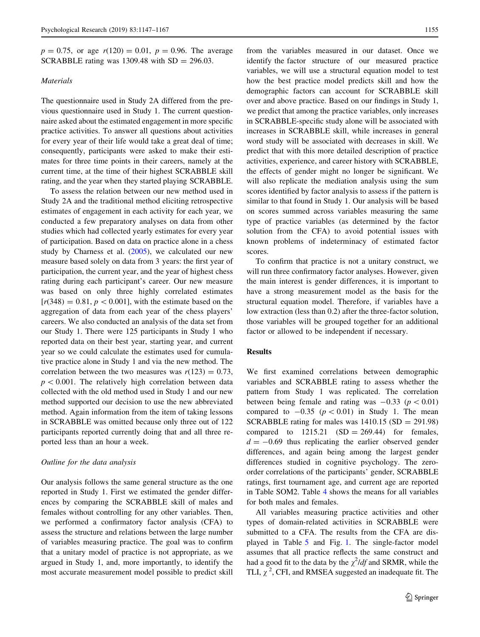$p = 0.75$ , or age  $r(120) = 0.01$ ,  $p = 0.96$ . The average SCRABBLE rating was  $1309.48$  with SD = 296.03.

## Materials

The questionnaire used in Study 2A differed from the previous questionnaire used in Study 1. The current questionnaire asked about the estimated engagement in more specific practice activities. To answer all questions about activities for every year of their life would take a great deal of time; consequently, participants were asked to make their estimates for three time points in their careers, namely at the current time, at the time of their highest SCRABBLE skill rating, and the year when they started playing SCRABBLE.

To assess the relation between our new method used in Study 2A and the traditional method eliciting retrospective estimates of engagement in each activity for each year, we conducted a few preparatory analyses on data from other studies which had collected yearly estimates for every year of participation. Based on data on practice alone in a chess study by Charness et al. ([2005\)](#page-19-0), we calculated our new measure based solely on data from 3 years: the first year of participation, the current year, and the year of highest chess rating during each participant's career. Our new measure was based on only three highly correlated estimates  $[r(348) = 0.81, p < 0.001]$ , with the estimate based on the aggregation of data from each year of the chess players' careers. We also conducted an analysis of the data set from our Study 1. There were 125 participants in Study 1 who reported data on their best year, starting year, and current year so we could calculate the estimates used for cumulative practice alone in Study 1 and via the new method. The correlation between the two measures was  $r(123) = 0.73$ ,  $p<0.001$ . The relatively high correlation between data collected with the old method used in Study 1 and our new method supported our decision to use the new abbreviated method. Again information from the item of taking lessons in SCRABBLE was omitted because only three out of 122 participants reported currently doing that and all three reported less than an hour a week.

#### Outline for the data analysis

Our analysis follows the same general structure as the one reported in Study 1. First we estimated the gender differences by comparing the SCRABBLE skill of males and females without controlling for any other variables. Then, we performed a confirmatory factor analysis (CFA) to assess the structure and relations between the large number of variables measuring practice. The goal was to confirm that a unitary model of practice is not appropriate, as we argued in Study 1, and, more importantly, to identify the most accurate measurement model possible to predict skill

from the variables measured in our dataset. Once we identify the factor structure of our measured practice variables, we will use a structural equation model to test how the best practice model predicts skill and how the demographic factors can account for SCRABBLE skill over and above practice. Based on our findings in Study 1, we predict that among the practice variables, only increases in SCRABBLE-specific study alone will be associated with increases in SCRABBLE skill, while increases in general word study will be associated with decreases in skill. We predict that with this more detailed description of practice activities, experience, and career history with SCRABBLE, the effects of gender might no longer be significant. We will also replicate the mediation analysis using the sum scores identified by factor analysis to assess if the pattern is similar to that found in Study 1. Our analysis will be based on scores summed across variables measuring the same type of practice variables (as determined by the factor solution from the CFA) to avoid potential issues with known problems of indeterminacy of estimated factor scores.

To confirm that practice is not a unitary construct, we will run three confirmatory factor analyses. However, given the main interest is gender differences, it is important to have a strong measurement model as the basis for the structural equation model. Therefore, if variables have a low extraction (less than 0.2) after the three-factor solution, those variables will be grouped together for an additional factor or allowed to be independent if necessary.

#### Results

We first examined correlations between demographic variables and SCRABBLE rating to assess whether the pattern from Study 1 was replicated. The correlation between being female and rating was  $-0.33$  ( $p < 0.01$ ) compared to  $-0.35$  ( $p < 0.01$ ) in Study 1. The mean SCRABBLE rating for males was  $1410.15$  (SD = 291.98) compared to  $1215.21$   $(SD = 269.44)$  for females,  $d = -0.69$  thus replicating the earlier observed gender differences, and again being among the largest gender differences studied in cognitive psychology. The zeroorder correlations of the participants' gender, SCRABBLE ratings, first tournament age, and current age are reported in Table SOM2. Table [4](#page-7-0) shows the means for all variables for both males and females.

All variables measuring practice activities and other types of domain-related activities in SCRABBLE were submitted to a CFA. The results from the CFA are displayed in Table [5](#page-9-0) and Fig. [1](#page-10-0). The single-factor model assumes that all practice reflects the same construct and had a good fit to the data by the  $\chi^2$ /df and SRMR, while the TLI,  $\chi^2$ , CFI, and RMSEA suggested an inadequate fit. The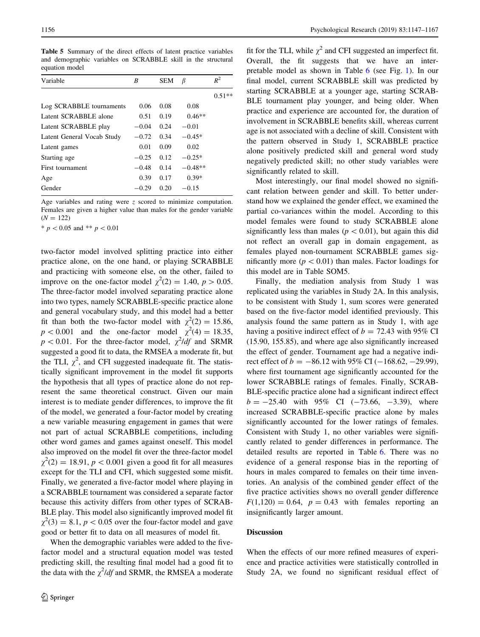<span id="page-9-0"></span>Table 5 Summary of the direct effects of latent practice variables and demographic variables on SCRABBLE skill in the structural equation model

| Variable                   | B       | <b>SEM</b> | β         | $R^2$    |
|----------------------------|---------|------------|-----------|----------|
|                            |         |            |           | $0.51**$ |
| Log SCRABBLE tournaments   | 0.06    | 0.08       | 0.08      |          |
| Latent SCRABBLE alone      | 0.51    | 0.19       | $0.46**$  |          |
| Latent SCRABBLE play       | $-0.04$ | 0.24       | $-0.01$   |          |
| Latent General Vocab Study | $-0.72$ | 0.34       | $-0.45*$  |          |
| Latent games               | 0.01    | 0.09       | 0.02      |          |
| Starting age               | $-0.25$ | 0.12       | $-0.25*$  |          |
| First tournament           | $-0.48$ | 0.14       | $-0.48**$ |          |
| Age                        | 0.39    | 0.17       | $0.39*$   |          |
| Gender                     | $-0.29$ | 0.20       | $-0.15$   |          |
|                            |         |            |           |          |

Age variables and rating were  $z$  scored to minimize computation. Females are given a higher value than males for the gender variable  $(N = 122)$ 

\*  $p < 0.05$  and \*\*  $p < 0.01$ 

two-factor model involved splitting practice into either practice alone, on the one hand, or playing SCRABBLE and practicing with someone else, on the other, failed to improve on the one-factor model  $\chi^2(2) = 1.40$ ,  $p > 0.05$ . The three-factor model involved separating practice alone into two types, namely SCRABBLE-specific practice alone and general vocabulary study, and this model had a better fit than both the two-factor model with  $\chi^2(2) = 15.86$ ,  $p < 0.001$  and the one-factor model  $\chi^2(4) = 18.35$ ,  $p < 0.01$ . For the three-factor model,  $\chi^2/df$  and SRMR suggested a good fit to data, the RMSEA a moderate fit, but the TLI,  $\chi^2$ , and CFI suggested inadequate fit. The statistically significant improvement in the model fit supports the hypothesis that all types of practice alone do not represent the same theoretical construct. Given our main interest is to mediate gender differences, to improve the fit of the model, we generated a four-factor model by creating a new variable measuring engagement in games that were not part of actual SCRABBLE competitions, including other word games and games against oneself. This model also improved on the model fit over the three-factor model  $\chi^2(2) = 18.91$ ,  $p < 0.001$  given a good fit for all measures except for the TLI and CFI, which suggested some misfit. Finally, we generated a five-factor model where playing in a SCRABBLE tournament was considered a separate factor because this activity differs from other types of SCRAB-BLE play. This model also significantly improved model fit  $\chi^2(3) = 8.1, p < 0.05$  over the four-factor model and gave good or better fit to data on all measures of model fit.

When the demographic variables were added to the fivefactor model and a structural equation model was tested predicting skill, the resulting final model had a good fit to the data with the  $\chi^2$ /df and SRMR, the RMSEA a moderate

fit for the TLI, while  $\gamma^2$  and CFI suggested an imperfect fit. Overall, the fit suggests that we have an interpretable model as shown in Table [6](#page-11-0) (see Fig. [1\)](#page-10-0). In our final model, current SCRABBLE skill was predicted by starting SCRABBLE at a younger age, starting SCRAB-BLE tournament play younger, and being older. When practice and experience are accounted for, the duration of involvement in SCRABBLE benefits skill, whereas current age is not associated with a decline of skill. Consistent with the pattern observed in Study 1, SCRABBLE practice alone positively predicted skill and general word study negatively predicted skill; no other study variables were significantly related to skill.

Most interestingly, our final model showed no significant relation between gender and skill. To better understand how we explained the gender effect, we examined the partial co-variances within the model. According to this model females were found to study SCRABBLE alone significantly less than males ( $p < 0.01$ ), but again this did not reflect an overall gap in domain engagement, as females played non-tournament SCRABBLE games significantly more ( $p < 0.01$ ) than males. Factor loadings for this model are in Table SOM5.

Finally, the mediation analysis from Study 1 was replicated using the variables in Study 2A. In this analysis, to be consistent with Study 1, sum scores were generated based on the five-factor model identified previously. This analysis found the same pattern as in Study 1, with age having a positive indirect effect of  $b = 72.43$  with 95% CI (15.90, 155.85), and where age also significantly increased the effect of gender. Tournament age had a negative indirect effect of  $b = -86.12$  with 95% CI (-168.62, -29.99), where first tournament age significantly accounted for the lower SCRABBLE ratings of females. Finally, SCRAB-BLE-specific practice alone had a significant indirect effect  $b = -25.40$  with 95% CI (-73.66, -3.39), where increased SCRABBLE-specific practice alone by males significantly accounted for the lower ratings of females. Consistent with Study 1, no other variables were significantly related to gender differences in performance. The detailed results are reported in Table [6](#page-11-0). There was no evidence of a general response bias in the reporting of hours in males compared to females on their time inventories. An analysis of the combined gender effect of the five practice activities shows no overall gender difference  $F(1,120) = 0.64$ ,  $p = 0.43$  with females reporting an insignificantly larger amount.

#### Discussion

When the effects of our more refined measures of experience and practice activities were statistically controlled in Study 2A, we found no significant residual effect of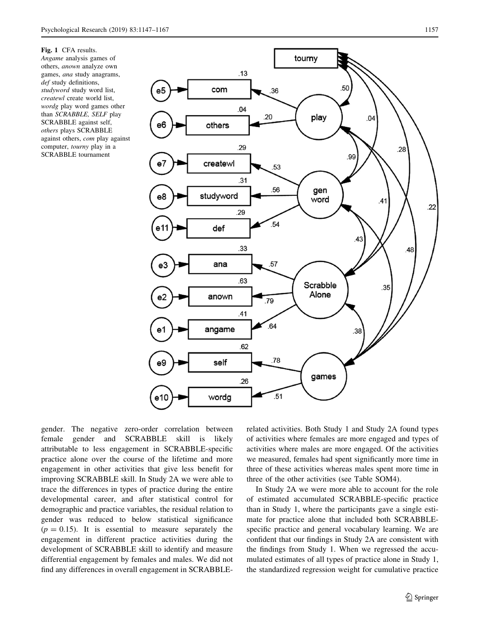<span id="page-10-0"></span>Fig. 1 CFA results. Angame analysis games of others, anown analyze own games, ana study anagrams, def study definitions, studyword study word list, createwl create world list, wordg play word games other than SCRABBLE, SELF play SCRABBLE against self, others plays SCRABBLE against others, com play against computer, tourny play in a SCRABBLE tournament



gender. The negative zero-order correlation between female gender and SCRABBLE skill is likely attributable to less engagement in SCRABBLE-specific practice alone over the course of the lifetime and more engagement in other activities that give less benefit for improving SCRABBLE skill. In Study 2A we were able to trace the differences in types of practice during the entire developmental career, and after statistical control for demographic and practice variables, the residual relation to gender was reduced to below statistical significance  $(p = 0.15)$ . It is essential to measure separately the engagement in different practice activities during the development of SCRABBLE skill to identify and measure differential engagement by females and males. We did not find any differences in overall engagement in SCRABBLE- related activities. Both Study 1 and Study 2A found types of activities where females are more engaged and types of activities where males are more engaged. Of the activities we measured, females had spent significantly more time in three of these activities whereas males spent more time in three of the other activities (see Table SOM4).

In Study 2A we were more able to account for the role of estimated accumulated SCRABBLE-specific practice than in Study 1, where the participants gave a single estimate for practice alone that included both SCRABBLEspecific practice and general vocabulary learning. We are confident that our findings in Study 2A are consistent with the findings from Study 1. When we regressed the accumulated estimates of all types of practice alone in Study 1, the standardized regression weight for cumulative practice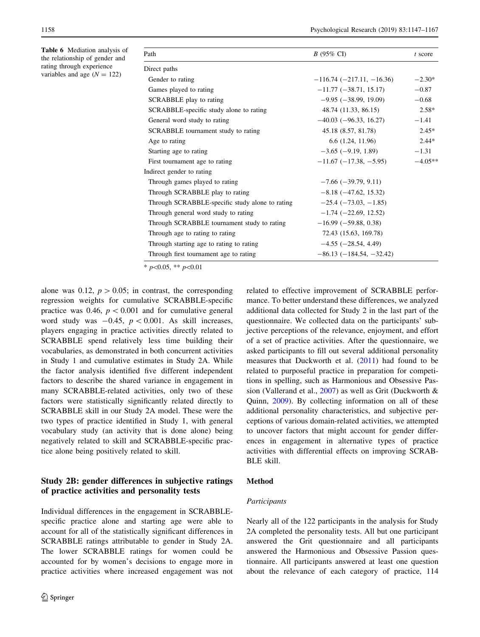<span id="page-11-0"></span>Table 6 Mediation analysis of the relationship of gender and rating through experience variables and age  $(N = 122)$ 

| Path                                            | $B(95\% \text{ CI})$               | t score   |
|-------------------------------------------------|------------------------------------|-----------|
| Direct paths                                    |                                    |           |
| Gender to rating                                | $-116.74$ ( $-217.11$ , $-16.36$ ) | $-2.30*$  |
| Games played to rating                          | $-11.77(-38.71, 15.17)$            | $-0.87$   |
| SCRABBLE play to rating                         | $-9.95$ ( $-38.99$ , 19.09)        | $-0.68$   |
| SCRABBLE-specific study alone to rating         | 48.74 (11.33, 86.15)               | $2.58*$   |
| General word study to rating                    | $-40.03$ ( $-96.33$ , 16.27)       | $-1.41$   |
| SCRABBLE tournament study to rating             | 45.18 (8.57, 81.78)                | $2.45*$   |
| Age to rating                                   | 6.6(1.24, 11.96)                   | $2.44*$   |
| Starting age to rating                          | $-3.65(-9.19, 1.89)$               | $-1.31$   |
| First tournament age to rating                  | $-11.67(-17.38, -5.95)$            | $-4.05**$ |
| Indirect gender to rating                       |                                    |           |
| Through games played to rating                  | $-7.66$ ( $-39.79$ , 9.11)         |           |
| Through SCRABBLE play to rating                 | $-8.18$ ( $-47.62$ , 15.32)        |           |
| Through SCRABBLE-specific study alone to rating | $-25.4$ ( $-73.03$ , $-1.85$ )     |           |
| Through general word study to rating            | $-1.74$ ( $-22.69$ , 12.52)        |           |
| Through SCRABBLE tournament study to rating     | $-16.99(-59.88, 0.38)$             |           |
| Through age to rating to rating                 | 72.43 (15.63, 169.78)              |           |
| Through starting age to rating to rating        | $-4.55(-28.54, 4.49)$              |           |
| Through first tournament age to rating          | $-86.13(-184.54, -32.42)$          |           |

 $*$  p<0.05, \*\* p<0.01

alone was 0.12,  $p > 0.05$ ; in contrast, the corresponding regression weights for cumulative SCRABBLE-specific practice was 0.46,  $p < 0.001$  and for cumulative general word study was  $-0.45$ ,  $p < 0.001$ . As skill increases, players engaging in practice activities directly related to SCRABBLE spend relatively less time building their vocabularies, as demonstrated in both concurrent activities in Study 1 and cumulative estimates in Study 2A. While the factor analysis identified five different independent factors to describe the shared variance in engagement in many SCRABBLE-related activities, only two of these factors were statistically significantly related directly to SCRABBLE skill in our Study 2A model. These were the two types of practice identified in Study 1, with general vocabulary study (an activity that is done alone) being negatively related to skill and SCRABBLE-specific practice alone being positively related to skill.

# Study 2B: gender differences in subjective ratings of practice activities and personality tests

Individual differences in the engagement in SCRABBLEspecific practice alone and starting age were able to account for all of the statistically significant differences in SCRABBLE ratings attributable to gender in Study 2A. The lower SCRABBLE ratings for women could be accounted for by women's decisions to engage more in practice activities where increased engagement was not related to effective improvement of SCRABBLE performance. To better understand these differences, we analyzed additional data collected for Study 2 in the last part of the questionnaire. We collected data on the participants' subjective perceptions of the relevance, enjoyment, and effort of a set of practice activities. After the questionnaire, we asked participants to fill out several additional personality measures that Duckworth et al. ([2011](#page-19-0)) had found to be related to purposeful practice in preparation for competitions in spelling, such as Harmonious and Obsessive Passion (Vallerand et al., [2007](#page-20-0)) as well as Grit (Duckworth & Quinn, [2009](#page-19-0)). By collecting information on all of these additional personality characteristics, and subjective perceptions of various domain-related activities, we attempted to uncover factors that might account for gender differences in engagement in alternative types of practice activities with differential effects on improving SCRAB-BLE skill.

# Method

#### Participants

Nearly all of the 122 participants in the analysis for Study 2A completed the personality tests. All but one participant answered the Grit questionnaire and all participants answered the Harmonious and Obsessive Passion questionnaire. All participants answered at least one question about the relevance of each category of practice, 114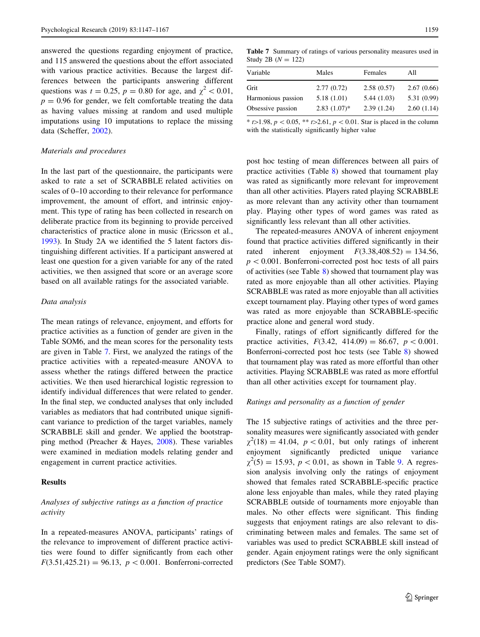<span id="page-12-0"></span>answered the questions regarding enjoyment of practice, and 115 answered the questions about the effort associated with various practice activities. Because the largest differences between the participants answering different questions was  $t = 0.25$ ,  $p = 0.80$  for age, and  $\chi^2 < 0.01$ ,  $p = 0.96$  for gender, we felt comfortable treating the data as having values missing at random and used multiple imputations using 10 imputations to replace the missing data (Scheffer, [2002](#page-20-0)).

#### Materials and procedures

In the last part of the questionnaire, the participants were asked to rate a set of SCRABBLE related activities on scales of 0–10 according to their relevance for performance improvement, the amount of effort, and intrinsic enjoyment. This type of rating has been collected in research on deliberate practice from its beginning to provide perceived characteristics of practice alone in music (Ericsson et al., [1993\)](#page-19-0). In Study 2A we identified the 5 latent factors distinguishing different activities. If a participant answered at least one question for a given variable for any of the rated activities, we then assigned that score or an average score based on all available ratings for the associated variable.

### Data analysis

The mean ratings of relevance, enjoyment, and efforts for practice activities as a function of gender are given in the Table SOM6, and the mean scores for the personality tests are given in Table 7. First, we analyzed the ratings of the practice activities with a repeated-measure ANOVA to assess whether the ratings differed between the practice activities. We then used hierarchical logistic regression to identify individual differences that were related to gender. In the final step, we conducted analyses that only included variables as mediators that had contributed unique significant variance to prediction of the target variables, namely SCRABBLE skill and gender. We applied the bootstrapping method (Preacher & Hayes, [2008](#page-20-0)). These variables were examined in mediation models relating gender and engagement in current practice activities.

## Results

# Analyses of subjective ratings as a function of practice activity

In a repeated-measures ANOVA, participants' ratings of the relevance to improvement of different practice activities were found to differ significantly from each other  $F(3.51, 425.21) = 96.13, p < 0.001$ . Bonferroni-corrected

Table 7 Summary of ratings of various personality measures used in Study 2B  $(N = 122)$ 

| Variable           | Males          | Females    | All         |
|--------------------|----------------|------------|-------------|
| Grit               | 2.77(0.72)     | 2.58(0.57) | 2.67(0.66)  |
| Harmonious passion | 5.18(1.01)     | 5.44(1.03) | 5.31 (0.99) |
| Obsessive passion  | $2.83(1.07)$ * | 2.39(1.24) | 2.60(1.14)  |
|                    |                |            |             |

\* t>1.98, p < 0.05, \*\* t>2.61, p < 0.01. Star is placed in the column with the statistically significantly higher value

post hoc testing of mean differences between all pairs of practice activities (Table [8\)](#page-13-0) showed that tournament play was rated as significantly more relevant for improvement than all other activities. Players rated playing SCRABBLE as more relevant than any activity other than tournament play. Playing other types of word games was rated as significantly less relevant than all other activities.

The repeated-measures ANOVA of inherent enjoyment found that practice activities differed significantly in their rated inherent enjoyment  $F(3.38, 408.52) = 134.56$ ,  $p<0.001$ . Bonferroni-corrected post hoc tests of all pairs of activities (see Table [8](#page-13-0)) showed that tournament play was rated as more enjoyable than all other activities. Playing SCRABBLE was rated as more enjoyable than all activities except tournament play. Playing other types of word games was rated as more enjoyable than SCRABBLE-specific practice alone and general word study.

Finally, ratings of effort significantly differed for the practice activities,  $F(3.42, 414.09) = 86.67, p < 0.001$ . Bonferroni-corrected post hoc tests (see Table [8](#page-13-0)) showed that tournament play was rated as more effortful than other activities. Playing SCRABBLE was rated as more effortful than all other activities except for tournament play.

#### Ratings and personality as a function of gender

The 15 subjective ratings of activities and the three personality measures were significantly associated with gender  $\chi^2(18) = 41.04$ ,  $p < 0.01$ , but only ratings of inherent enjoyment significantly predicted unique variance  $\chi^2(5) = 15.93, p < 0.01$  $\chi^2(5) = 15.93, p < 0.01$  $\chi^2(5) = 15.93, p < 0.01$ , as shown in Table 9. A regression analysis involving only the ratings of enjoyment showed that females rated SCRABBLE-specific practice alone less enjoyable than males, while they rated playing SCRABBLE outside of tournaments more enjoyable than males. No other effects were significant. This finding suggests that enjoyment ratings are also relevant to discriminating between males and females. The same set of variables was used to predict SCRABBLE skill instead of gender. Again enjoyment ratings were the only significant predictors (See Table SOM7).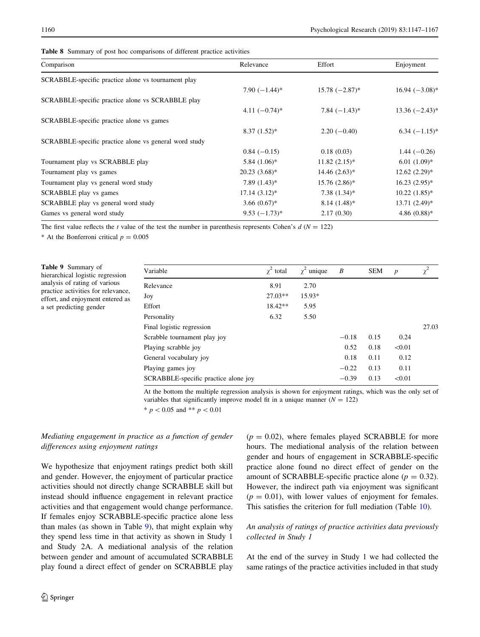<span id="page-13-0"></span>Table 8 Summary of post hoc comparisons of different practice activities

| Comparison                                             | Relevance        | Effort            | Enjoyment          |
|--------------------------------------------------------|------------------|-------------------|--------------------|
| SCRABBLE-specific practice alone vs tournament play    |                  |                   |                    |
|                                                        | $7.90(-1.44)$ *  | $15.78 (-2.87)^*$ | $16.94 (-3.08)^*$  |
| SCRABBLE-specific practice alone vs SCRABBLE play      |                  |                   |                    |
|                                                        | $4.11 (-0.74)^*$ | $7.84 (-1.43)^*$  | $13.36 (-2.43)^*$  |
| SCRABBLE-specific practice alone vs games              |                  |                   |                    |
|                                                        | $8.37(1.52)^*$   | $2.20(-0.40)$     | $6.34 (-1.15)^*$   |
| SCRABBLE-specific practice alone vs general word study |                  |                   |                    |
|                                                        | $0.84(-0.15)$    | 0.18(0.03)        | $1.44(-0.26)$      |
| Tournament play vs SCRABBLE play                       | $5.84(1.06)^*$   | $11.82 (2.15)^*$  | $6.01(1.09)*$      |
| Tournament play vs games                               | $20.23(3.68)$ *  | $14.46(2.63)*$    | $12.62 (2.29)^*$   |
| Tournament play vs general word study                  | $7.89(1.43)*$    | $15.76(2.86)^*$   | $16.23$ $(2.95)^*$ |
| SCRABBLE play vs games                                 | $17.14(3.12)*$   | $7.38(1.34)$ *    | $10.22$ $(1.85)$ * |
| SCRABBLE play vs general word study                    | $3.66(0.67)^*$   | $8.14(1.48)$ *    | $13.71(2.49)$ *    |
| Games vs general word study                            | $9.53(-1.73)*$   | 2.17(0.30)        | 4.86 $(0.88)$ *    |

The first value reflects the t value of the test the number in parenthesis represents Cohen's  $d (N = 122)$ 

\* At the Bonferroni critical  $p = 0.005$ 

| <b>Table 9</b> Summary of                                                                                                 | Variable                             | $\chi^2$ total | $\chi^2$ unique | B       | <b>SEM</b> | $\boldsymbol{p}$ | $\chi^2$ |
|---------------------------------------------------------------------------------------------------------------------------|--------------------------------------|----------------|-----------------|---------|------------|------------------|----------|
| analysis of rating of various                                                                                             | Relevance                            | 8.91           | 2.70            |         |            |                  |          |
|                                                                                                                           | Joy                                  | $27.03**$      | 15.93*          |         |            |                  |          |
| a set predicting gender                                                                                                   | Effort                               | $18.42**$      | 5.95            |         |            |                  |          |
| hierarchical logistic regression<br>practice activities for relevance,<br>effort, and enjoyment entered as<br>Personality |                                      | 6.32           | 5.50            |         |            |                  |          |
|                                                                                                                           | Final logistic regression            |                |                 |         |            |                  | 27.03    |
|                                                                                                                           | Scrabble tournament play joy         |                |                 | $-0.18$ | 0.15       | 0.24             |          |
|                                                                                                                           | Playing scrabble joy                 |                |                 | 0.52    | 0.18       | < 0.01           |          |
|                                                                                                                           | General vocabulary joy               |                |                 | 0.18    | 0.11       | 0.12             |          |
|                                                                                                                           | Playing games joy                    |                |                 | $-0.22$ | 0.13       | 0.11             |          |
|                                                                                                                           | SCRABBLE-specific practice alone joy |                |                 | $-0.39$ | 0.13       | < 0.01           |          |

At the bottom the multiple regression analysis is shown for enjoyment ratings, which was the only set of variables that significantly improve model fit in a unique manner  $(N = 122)$ 

\*  $p < 0.05$  and \*\*  $p < 0.01$ 

# Mediating engagement in practice as a function of gender differences using enjoyment ratings

We hypothesize that enjoyment ratings predict both skill and gender. However, the enjoyment of particular practice activities should not directly change SCRABBLE skill but instead should influence engagement in relevant practice activities and that engagement would change performance. If females enjoy SCRABBLE-specific practice alone less than males (as shown in Table 9), that might explain why they spend less time in that activity as shown in Study 1 and Study 2A. A mediational analysis of the relation between gender and amount of accumulated SCRABBLE play found a direct effect of gender on SCRABBLE play

 $(p = 0.02)$ , where females played SCRABBLE for more hours. The mediational analysis of the relation between gender and hours of engagement in SCRABBLE-specific practice alone found no direct effect of gender on the amount of SCRABBLE-specific practice alone ( $p = 0.32$ ). However, the indirect path via enjoyment was significant  $(p = 0.01)$ , with lower values of enjoyment for females. This satisfies the criterion for full mediation (Table [10](#page-14-0)).

# An analysis of ratings of practice activities data previously collected in Study 1

At the end of the survey in Study 1 we had collected the same ratings of the practice activities included in that study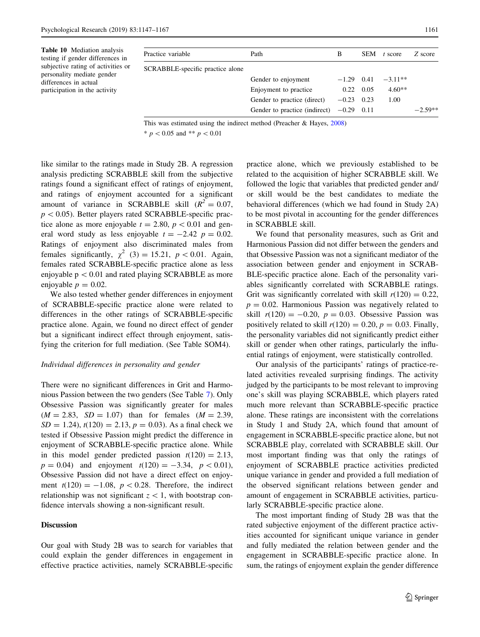<span id="page-14-0"></span>Table 10 Mediation analysis testing if gender differences in subjective rating of activities or personality mediate gender differences in actual participation in the activity

| Practice variable                | Path                          | B            | <b>SEM</b> | t score   | Z score   |
|----------------------------------|-------------------------------|--------------|------------|-----------|-----------|
| SCRABBLE-specific practice alone |                               |              |            |           |           |
|                                  | Gender to enjoyment           | $-1.29$ 0.41 |            | $-3.11**$ |           |
|                                  | Enjoyment to practice         | 0.22         | 0.05       | $4.60**$  |           |
|                                  | Gender to practice (direct)   | $-0.23$      | 0.23       | 1.00      |           |
|                                  | Gender to practice (indirect) | $-0.29$ 0.11 |            |           | $-2.59**$ |

This was estimated using the indirect method (Preacher & Hayes, [2008](#page-20-0))

\*  $p < 0.05$  and \*\*  $p < 0.01$ 

like similar to the ratings made in Study 2B. A regression analysis predicting SCRABBLE skill from the subjective ratings found a significant effect of ratings of enjoyment, and ratings of enjoyment accounted for a significant amount of variance in SCRABBLE skill  $(R^2 = 0.07)$ ,  $p<0.05$ ). Better players rated SCRABBLE-specific practice alone as more enjoyable  $t = 2.80, p < 0.01$  and general word study as less enjoyable  $t = -2.42$   $p = 0.02$ . Ratings of enjoyment also discriminated males from females significantly,  $\chi^2$  (3) = 15.21,  $p < 0.01$ . Again, females rated SCRABBLE-specific practice alone as less enjoyable  $p < 0.01$  and rated playing SCRABBLE as more enjoyable  $p = 0.02$ .

We also tested whether gender differences in enjoyment of SCRABBLE-specific practice alone were related to differences in the other ratings of SCRABBLE-specific practice alone. Again, we found no direct effect of gender but a significant indirect effect through enjoyment, satisfying the criterion for full mediation. (See Table SOM4).

#### Individual differences in personality and gender

There were no significant differences in Grit and Harmonious Passion between the two genders (See Table [7\)](#page-12-0). Only Obsessive Passion was significantly greater for males  $(M = 2.83, SD = 1.07)$  than for females  $(M = 2.39,$  $SD = 1.24$ ,  $t(120) = 2.13$ ,  $p = 0.03$ ). As a final check we tested if Obsessive Passion might predict the difference in enjoyment of SCRABBLE-specific practice alone. While in this model gender predicted passion  $t(120) = 2.13$ ,  $p = 0.04$ ) and enjoyment  $t(120) = -3.34$ ,  $p < 0.01$ ), Obsessive Passion did not have a direct effect on enjoyment  $t(120) = -1.08$ ,  $p < 0.28$ . Therefore, the indirect relationship was not significant  $z < 1$ , with bootstrap confidence intervals showing a non-significant result.

### Discussion

Our goal with Study 2B was to search for variables that could explain the gender differences in engagement in effective practice activities, namely SCRABBLE-specific

practice alone, which we previously established to be related to the acquisition of higher SCRABBLE skill. We followed the logic that variables that predicted gender and/ or skill would be the best candidates to mediate the behavioral differences (which we had found in Study 2A)

in SCRABBLE skill. We found that personality measures, such as Grit and Harmonious Passion did not differ between the genders and that Obsessive Passion was not a significant mediator of the association between gender and enjoyment in SCRAB-BLE-specific practice alone. Each of the personality variables significantly correlated with SCRABBLE ratings. Grit was significantly correlated with skill  $r(120) = 0.22$ ,  $p = 0.02$ . Harmonious Passion was negatively related to skill  $r(120) = -0.20$ ,  $p = 0.03$ . Obsessive Passion was positively related to skill  $r(120) = 0.20$ ,  $p = 0.03$ . Finally, the personality variables did not significantly predict either skill or gender when other ratings, particularly the influential ratings of enjoyment, were statistically controlled.

to be most pivotal in accounting for the gender differences

Our analysis of the participants' ratings of practice-related activities revealed surprising findings. The activity judged by the participants to be most relevant to improving one's skill was playing SCRABBLE, which players rated much more relevant than SCRABBLE-specific practice alone. These ratings are inconsistent with the correlations in Study 1 and Study 2A, which found that amount of engagement in SCRABBLE-specific practice alone, but not SCRABBLE play, correlated with SCRABBLE skill. Our most important finding was that only the ratings of enjoyment of SCRABBLE practice activities predicted unique variance in gender and provided a full mediation of the observed significant relations between gender and amount of engagement in SCRABBLE activities, particularly SCRABBLE-specific practice alone.

The most important finding of Study 2B was that the rated subjective enjoyment of the different practice activities accounted for significant unique variance in gender and fully mediated the relation between gender and the engagement in SCRABBLE-specific practice alone. In sum, the ratings of enjoyment explain the gender difference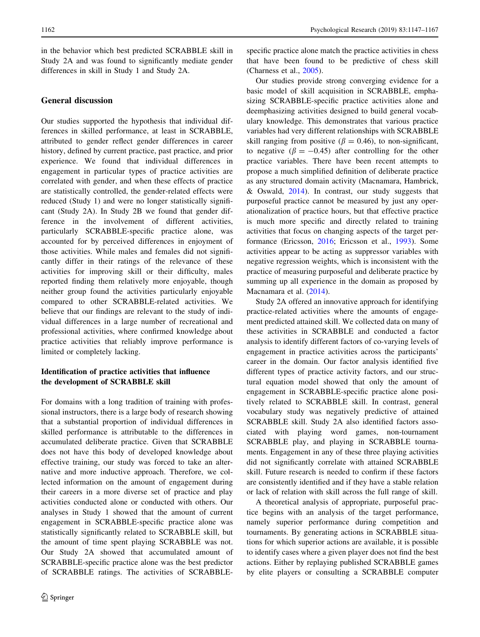in the behavior which best predicted SCRABBLE skill in Study 2A and was found to significantly mediate gender differences in skill in Study 1 and Study 2A.

# General discussion

Our studies supported the hypothesis that individual differences in skilled performance, at least in SCRABBLE, attributed to gender reflect gender differences in career history, defined by current practice, past practice, and prior experience. We found that individual differences in engagement in particular types of practice activities are correlated with gender, and when these effects of practice are statistically controlled, the gender-related effects were reduced (Study 1) and were no longer statistically significant (Study 2A). In Study 2B we found that gender difference in the involvement of different activities, particularly SCRABBLE-specific practice alone, was accounted for by perceived differences in enjoyment of those activities. While males and females did not significantly differ in their ratings of the relevance of these activities for improving skill or their difficulty, males reported finding them relatively more enjoyable, though neither group found the activities particularly enjoyable compared to other SCRABBLE-related activities. We believe that our findings are relevant to the study of individual differences in a large number of recreational and professional activities, where confirmed knowledge about practice activities that reliably improve performance is limited or completely lacking.

# Identification of practice activities that influence the development of SCRABBLE skill

For domains with a long tradition of training with professional instructors, there is a large body of research showing that a substantial proportion of individual differences in skilled performance is attributable to the differences in accumulated deliberate practice. Given that SCRABBLE does not have this body of developed knowledge about effective training, our study was forced to take an alternative and more inductive approach. Therefore, we collected information on the amount of engagement during their careers in a more diverse set of practice and play activities conducted alone or conducted with others. Our analyses in Study 1 showed that the amount of current engagement in SCRABBLE-specific practice alone was statistically significantly related to SCRABBLE skill, but the amount of time spent playing SCRABBLE was not. Our Study 2A showed that accumulated amount of SCRABBLE-specific practice alone was the best predictor of SCRABBLE ratings. The activities of SCRABBLE- specific practice alone match the practice activities in chess that have been found to be predictive of chess skill (Charness et al., [2005\)](#page-19-0).

Our studies provide strong converging evidence for a basic model of skill acquisition in SCRABBLE, emphasizing SCRABBLE-specific practice activities alone and deemphasizing activities designed to build general vocabulary knowledge. This demonstrates that various practice variables had very different relationships with SCRABBLE skill ranging from positive ( $\beta = 0.46$ ), to non-significant, to negative  $(\beta = -0.45)$  after controlling for the other practice variables. There have been recent attempts to propose a much simplified definition of deliberate practice as any structured domain activity (Macnamara, Hambrick, & Oswald,  $2014$ ). In contrast, our study suggests that purposeful practice cannot be measured by just any operationalization of practice hours, but that effective practice is much more specific and directly related to training activities that focus on changing aspects of the target performance (Ericsson, [2016](#page-19-0); Ericsson et al., [1993\)](#page-19-0). Some activities appear to be acting as suppressor variables with negative regression weights, which is inconsistent with the practice of measuring purposeful and deliberate practice by summing up all experience in the domain as proposed by Macnamara et al. ([2014\)](#page-20-0).

Study 2A offered an innovative approach for identifying practice-related activities where the amounts of engagement predicted attained skill. We collected data on many of these activities in SCRABBLE and conducted a factor analysis to identify different factors of co-varying levels of engagement in practice activities across the participants' career in the domain. Our factor analysis identified five different types of practice activity factors, and our structural equation model showed that only the amount of engagement in SCRABBLE-specific practice alone positively related to SCRABBLE skill. In contrast, general vocabulary study was negatively predictive of attained SCRABBLE skill. Study 2A also identified factors associated with playing word games, non-tournament SCRABBLE play, and playing in SCRABBLE tournaments. Engagement in any of these three playing activities did not significantly correlate with attained SCRABBLE skill. Future research is needed to confirm if these factors are consistently identified and if they have a stable relation or lack of relation with skill across the full range of skill.

A theoretical analysis of appropriate, purposeful practice begins with an analysis of the target performance, namely superior performance during competition and tournaments. By generating actions in SCRABBLE situations for which superior actions are available, it is possible to identify cases where a given player does not find the best actions. Either by replaying published SCRABBLE games by elite players or consulting a SCRABBLE computer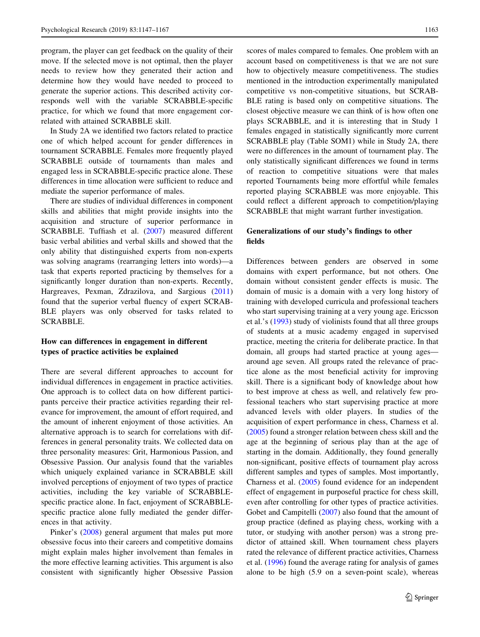program, the player can get feedback on the quality of their move. If the selected move is not optimal, then the player needs to review how they generated their action and determine how they would have needed to proceed to generate the superior actions. This described activity corresponds well with the variable SCRABBLE-specific practice, for which we found that more engagement correlated with attained SCRABBLE skill.

In Study 2A we identified two factors related to practice one of which helped account for gender differences in tournament SCRABBLE. Females more frequently played SCRABBLE outside of tournaments than males and engaged less in SCRABBLE-specific practice alone. These differences in time allocation were sufficient to reduce and mediate the superior performance of males.

There are studies of individual differences in component skills and abilities that might provide insights into the acquisition and structure of superior performance in SCRABBLE. Tuffiash et al. ([2007](#page-20-0)) measured different basic verbal abilities and verbal skills and showed that the only ability that distinguished experts from non-experts was solving anagrams (rearranging letters into words)—a task that experts reported practicing by themselves for a significantly longer duration than non-experts. Recently, Hargreaves, Pexman, Zdrazilova, and Sargious ([2011\)](#page-20-0) found that the superior verbal fluency of expert SCRAB-BLE players was only observed for tasks related to SCRABBLE.

# How can differences in engagement in different types of practice activities be explained

There are several different approaches to account for individual differences in engagement in practice activities. One approach is to collect data on how different participants perceive their practice activities regarding their relevance for improvement, the amount of effort required, and the amount of inherent enjoyment of those activities. An alternative approach is to search for correlations with differences in general personality traits. We collected data on three personality measures: Grit, Harmonious Passion, and Obsessive Passion. Our analysis found that the variables which uniquely explained variance in SCRABBLE skill involved perceptions of enjoyment of two types of practice activities, including the key variable of SCRABBLEspecific practice alone. In fact, enjoyment of SCRABBLEspecific practice alone fully mediated the gender differences in that activity.

Pinker's ([2008\)](#page-20-0) general argument that males put more obsessive focus into their careers and competitive domains might explain males higher involvement than females in the more effective learning activities. This argument is also consistent with significantly higher Obsessive Passion scores of males compared to females. One problem with an account based on competitiveness is that we are not sure how to objectively measure competitiveness. The studies mentioned in the introduction experimentally manipulated competitive vs non-competitive situations, but SCRAB-BLE rating is based only on competitive situations. The closest objective measure we can think of is how often one plays SCRABBLE, and it is interesting that in Study 1 females engaged in statistically significantly more current SCRABBLE play (Table SOM1) while in Study 2A, there were no differences in the amount of tournament play. The only statistically significant differences we found in terms of reaction to competitive situations were that males reported Tournaments being more effortful while females reported playing SCRABBLE was more enjoyable. This could reflect a different approach to competition/playing SCRABBLE that might warrant further investigation.

# Generalizations of our study's findings to other fields

Differences between genders are observed in some domains with expert performance, but not others. One domain without consistent gender effects is music. The domain of music is a domain with a very long history of training with developed curricula and professional teachers who start supervising training at a very young age. Ericsson et al.'s ([1993\)](#page-19-0) study of violinists found that all three groups of students at a music academy engaged in supervised practice, meeting the criteria for deliberate practice. In that domain, all groups had started practice at young ages around age seven. All groups rated the relevance of practice alone as the most beneficial activity for improving skill. There is a significant body of knowledge about how to best improve at chess as well, and relatively few professional teachers who start supervising practice at more advanced levels with older players. In studies of the acquisition of expert performance in chess, Charness et al. [\(2005](#page-19-0)) found a stronger relation between chess skill and the age at the beginning of serious play than at the age of starting in the domain. Additionally, they found generally non-significant, positive effects of tournament play across different samples and types of samples. Most importantly, Charness et al. ([2005\)](#page-19-0) found evidence for an independent effect of engagement in purposeful practice for chess skill, even after controlling for other types of practice activities. Gobet and Campitelli [\(2007](#page-20-0)) also found that the amount of group practice (defined as playing chess, working with a tutor, or studying with another person) was a strong predictor of attained skill. When tournament chess players rated the relevance of different practice activities, Charness et al. ([1996\)](#page-19-0) found the average rating for analysis of games alone to be high (5.9 on a seven-point scale), whereas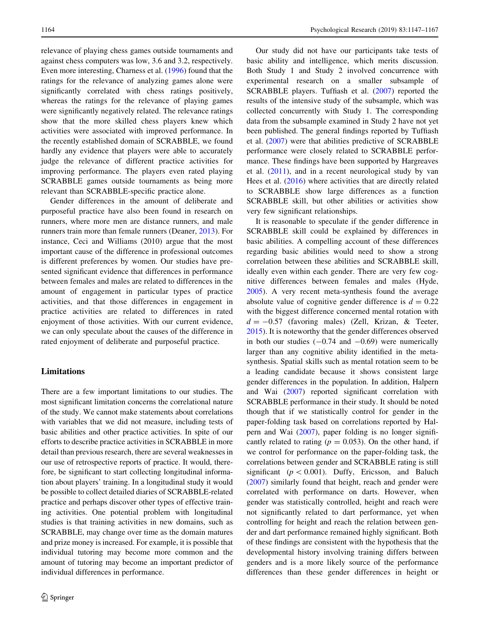relevance of playing chess games outside tournaments and against chess computers was low, 3.6 and 3.2, respectively. Even more interesting, Charness et al. [\(1996](#page-19-0)) found that the ratings for the relevance of analyzing games alone were significantly correlated with chess ratings positively, whereas the ratings for the relevance of playing games were significantly negatively related. The relevance ratings show that the more skilled chess players knew which activities were associated with improved performance. In the recently established domain of SCRABBLE, we found hardly any evidence that players were able to accurately judge the relevance of different practice activities for improving performance. The players even rated playing SCRABBLE games outside tournaments as being more relevant than SCRABBLE-specific practice alone.

Gender differences in the amount of deliberate and purposeful practice have also been found in research on runners, where more men are distance runners, and male runners train more than female runners (Deaner, [2013\)](#page-19-0). For instance, Ceci and Williams (2010) argue that the most important cause of the difference in professional outcomes is different preferences by women. Our studies have presented significant evidence that differences in performance between females and males are related to differences in the amount of engagement in particular types of practice activities, and that those differences in engagement in practice activities are related to differences in rated enjoyment of those activities. With our current evidence, we can only speculate about the causes of the difference in rated enjoyment of deliberate and purposeful practice.

### Limitations

There are a few important limitations to our studies. The most significant limitation concerns the correlational nature of the study. We cannot make statements about correlations with variables that we did not measure, including tests of basic abilities and other practice activities. In spite of our efforts to describe practice activities in SCRABBLE in more detail than previous research, there are several weaknesses in our use of retrospective reports of practice. It would, therefore, be significant to start collecting longitudinal information about players' training. In a longitudinal study it would be possible to collect detailed diaries of SCRABBLE-related practice and perhaps discover other types of effective training activities. One potential problem with longitudinal studies is that training activities in new domains, such as SCRABBLE, may change over time as the domain matures and prize money is increased. For example, it is possible that individual tutoring may become more common and the amount of tutoring may become an important predictor of individual differences in performance.

Our study did not have our participants take tests of basic ability and intelligence, which merits discussion. Both Study 1 and Study 2 involved concurrence with experimental research on a smaller subsample of SCRABBLE players. Tuffiash et al. ([2007\)](#page-20-0) reported the results of the intensive study of the subsample, which was collected concurrently with Study 1. The corresponding data from the subsample examined in Study 2 have not yet been published. The general findings reported by Tuffiash et al. ([2007](#page-20-0)) were that abilities predictive of SCRABBLE performance were closely related to SCRABBLE performance. These findings have been supported by Hargreaves et al. ([2011\)](#page-20-0), and in a recent neurological study by van Hees et al. ([2016\)](#page-20-0) where activities that are directly related to SCRABBLE show large differences as a function SCRABBLE skill, but other abilities or activities show very few significant relationships.

It is reasonable to speculate if the gender difference in SCRABBLE skill could be explained by differences in basic abilities. A compelling account of these differences regarding basic abilities would need to show a strong correlation between these abilities and SCRABBLE skill, ideally even within each gender. There are very few cognitive differences between females and males (Hyde, [2005](#page-20-0)). A very recent meta-synthesis found the average absolute value of cognitive gender difference is  $d = 0.22$ with the biggest difference concerned mental rotation with  $d = -0.57$  (favoring males) (Zell, Krizan, & Teeter, [2015](#page-20-0)). It is noteworthy that the gender differences observed in both our studies  $(-0.74 \text{ and } -0.69)$  were numerically larger than any cognitive ability identified in the metasynthesis. Spatial skills such as mental rotation seem to be a leading candidate because it shows consistent large gender differences in the population. In addition, Halpern and Wai [\(2007](#page-20-0)) reported significant correlation with SCRABBLE performance in their study. It should be noted though that if we statistically control for gender in the paper-folding task based on correlations reported by Halpern and Wai [\(2007](#page-20-0)), paper folding is no longer significantly related to rating ( $p = 0.053$ ). On the other hand, if we control for performance on the paper-folding task, the correlations between gender and SCRABBLE rating is still significant ( $p < 0.001$ ). Duffy, Ericsson, and Baluch [\(2007](#page-19-0)) similarly found that height, reach and gender were correlated with performance on darts. However, when gender was statistically controlled, height and reach were not significantly related to dart performance, yet when controlling for height and reach the relation between gender and dart performance remained highly significant. Both of these findings are consistent with the hypothesis that the developmental history involving training differs between genders and is a more likely source of the performance differences than these gender differences in height or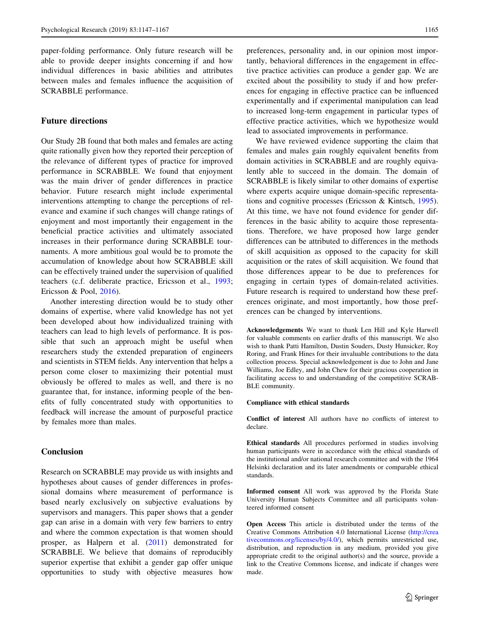paper-folding performance. Only future research will be able to provide deeper insights concerning if and how individual differences in basic abilities and attributes between males and females influence the acquisition of SCRABBLE performance.

### Future directions

Our Study 2B found that both males and females are acting quite rationally given how they reported their perception of the relevance of different types of practice for improved performance in SCRABBLE. We found that enjoyment was the main driver of gender differences in practice behavior. Future research might include experimental interventions attempting to change the perceptions of relevance and examine if such changes will change ratings of enjoyment and most importantly their engagement in the beneficial practice activities and ultimately associated increases in their performance during SCRABBLE tournaments. A more ambitious goal would be to promote the accumulation of knowledge about how SCRABBLE skill can be effectively trained under the supervision of qualified teachers (c.f. deliberate practice, Ericsson et al., [1993](#page-19-0); Ericsson & Pool, [2016\)](#page-20-0).

Another interesting direction would be to study other domains of expertise, where valid knowledge has not yet been developed about how individualized training with teachers can lead to high levels of performance. It is possible that such an approach might be useful when researchers study the extended preparation of engineers and scientists in STEM fields. Any intervention that helps a person come closer to maximizing their potential must obviously be offered to males as well, and there is no guarantee that, for instance, informing people of the benefits of fully concentrated study with opportunities to feedback will increase the amount of purposeful practice by females more than males.

### Conclusion

Research on SCRABBLE may provide us with insights and hypotheses about causes of gender differences in professional domains where measurement of performance is based nearly exclusively on subjective evaluations by supervisors and managers. This paper shows that a gender gap can arise in a domain with very few barriers to entry and where the common expectation is that women should prosper, as Halpern et al. [\(2011](#page-20-0)) demonstrated for SCRABBLE. We believe that domains of reproducibly superior expertise that exhibit a gender gap offer unique opportunities to study with objective measures how

preferences, personality and, in our opinion most importantly, behavioral differences in the engagement in effective practice activities can produce a gender gap. We are excited about the possibility to study if and how preferences for engaging in effective practice can be influenced experimentally and if experimental manipulation can lead to increased long-term engagement in particular types of effective practice activities, which we hypothesize would lead to associated improvements in performance.

We have reviewed evidence supporting the claim that females and males gain roughly equivalent benefits from domain activities in SCRABBLE and are roughly equivalently able to succeed in the domain. The domain of SCRABBLE is likely similar to other domains of expertise where experts acquire unique domain-specific representations and cognitive processes (Ericsson & Kintsch, [1995](#page-19-0)). At this time, we have not found evidence for gender differences in the basic ability to acquire those representations. Therefore, we have proposed how large gender differences can be attributed to differences in the methods of skill acquisition as opposed to the capacity for skill acquisition or the rates of skill acquisition. We found that those differences appear to be due to preferences for engaging in certain types of domain-related activities. Future research is required to understand how these preferences originate, and most importantly, how those preferences can be changed by interventions.

Acknowledgements We want to thank Len Hill and Kyle Harwell for valuable comments on earlier drafts of this manuscript. We also wish to thank Patti Hamilton, Dustin Souders, Dusty Hunsicker, Roy Roring, and Frank Hines for their invaluable contributions to the data collection process. Special acknowledgement is due to John and Jane Williams, Joe Edley, and John Chew for their gracious cooperation in facilitating access to and understanding of the competitive SCRAB-BLE community.

#### Compliance with ethical standards

Conflict of interest All authors have no conflicts of interest to declare.

Ethical standards All procedures performed in studies involving human participants were in accordance with the ethical standards of the institutional and/or national research committee and with the 1964 Helsinki declaration and its later amendments or comparable ethical standards.

Informed consent All work was approved by the Florida State University Human Subjects Committee and all participants volunteered informed consent

Open Access This article is distributed under the terms of the Creative Commons Attribution 4.0 International License ([http://crea](http://creativecommons.org/licenses/by/4.0/) [tivecommons.org/licenses/by/4.0/\)](http://creativecommons.org/licenses/by/4.0/), which permits unrestricted use, distribution, and reproduction in any medium, provided you give appropriate credit to the original author(s) and the source, provide a link to the Creative Commons license, and indicate if changes were made.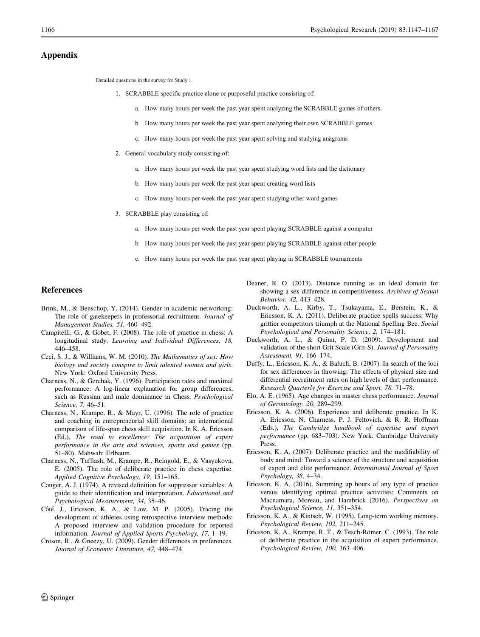# <span id="page-19-0"></span>Appendix

Detailed questions in the survey for Study 1.

- 1. SCRABBLE specific practice alone or purposeful practice consisting of:
	- a. How many hours per week the past year spent analyzing the SCRABBLE games of others.
	- b. How many hours per week the past year spent analyzing their own SCRABBLE games
	- c. How many hours per week the past year spent solving and studying anagrams
- 2. General vocabulary study consisting of:
	- a. How many hours per week the past year spent studying word lists and the dictionary
	- b. How many hours per week the past year spent creating word lists
	- c. How many hours per week the past year spent studying other word games
- 3. SCRABBLE play consisting of:
	- a. How many hours per week the past year spent playing SCRABBLE against a computer
	- b. How many hours per week the past year spent playing SCRABBLE against other people
	- c. How many hours per week the past year spent playing in SCRABBLE tournaments

#### References

- Brink, M., & Benschop, Y. (2014). Gender in academic networking: The role of gatekeepers in professorial recruitment. Journal of Management Studies, 51, 460–492.
- Campitelli, G., & Gobet, F. (2008). The role of practice in chess: A longitudinal study. Learning and Individual Differences, 18, 446–458.
- Ceci, S. J., & Williams, W. M. (2010). The Mathematics of sex: How biology and society conspire to limit talented women and girls. New York: Oxford University Press.
- Charness, N., & Gerchak, Y. (1996). Participation rates and maximal performance: A log-linear explanation for group differences, such as Russian and male dominance in Chess. Psychological Science, 7, 46–51.
- Charness, N., Krampe, R., & Mayr, U. (1996). The role of practice and coaching in entrepreneurial skill domains: an international comparison of life-span chess skill acquisition. In K. A. Ericsson (Ed.), The road to excellence: The acquisition of expert performance in the arts and sciences, sports and games (pp. 51–80). Mahwah: Erlbaum.
- Charness, N., Tuffiash, M., Krampe, R., Reingold, E., & Vasyukova, E. (2005). The role of deliberate practice in chess expertise. Applied Cognitive Psychology, 19, 151–165.
- Conger, A. J. (1974). A revised definition for suppressor variables: A guide to their identification and interpretation. Educational and Psychological Measurement, 34, 35–46.
- Côté, J., Ericsson, K. A., & Law, M. P. (2005). Tracing the development of athletes using retrospective interview methods: A proposed interview and validation procedure for reported information. Journal of Applied Sports Psychology, 17, 1–19.
- Croson, R., & Gneezy, U. (2009). Gender differences in preferences. Journal of Economic Literature, 47, 448–474.
- Deaner, R. O. (2013). Distance running as an ideal domain for showing a sex difference in competitiveness. Archives of Sexual Behavior, 42, 413–428.
- Duckworth, A. L., Kirby, T., Tsukayama, E., Berstein, K., & Ericsson, K. A. (2011). Deliberate practice spells success: Why grittier competitors triumph at the National Spelling Bee. Social Psychological and Personality Science, 2, 174–181.
- Duckworth, A. L., & Quinn, P. D. (2009). Development and validation of the short Grit Scale (Grit-S). Journal of Personality Assessment, 91, 166–174.
- Duffy, L., Ericsson, K. A., & Baluch, B. (2007). In search of the loci for sex differences in throwing: The effects of physical size and differential recruitment rates on high levels of dart performance. Research Quarterly for Exercise and Sport, 78, 71–78.
- Elo, A. E. (1965). Age changes in master chess performance. Journal of Gerontology, 20, 289–299.
- Ericsson, K. A. (2006). Experience and deliberate practice. In K. A. Ericsson, N. Charness, P. J. Feltovich, & R. R. Hoffman (Eds.), The Cambridge handbook of expertise and expert performance (pp. 683–703). New York: Cambridge University Press.
- Ericsson, K. A. (2007). Deliberate practice and the modifiability of body and mind: Toward a science of the structure and acquisition of expert and elite performance. International Journal of Sport Psychology, 38, 4–34.
- Ericsson, K. A. (2016). Summing up hours of any type of practice versus identifying optimal practice activities: Comments on Macnamara, Moreau, and Hambrick (2016). Perspectives on Psychological Science, 11, 351–354.
- Ericsson, K. A., & Kintsch, W. (1995). Long-term working memory. Psychological Review, 102, 211–245.
- Ericsson, K. A., Krampe, R. T., & Tesch-Römer, C. (1993). The role of deliberate practice in the acquisition of expert performance. Psychological Review, 100, 363–406.